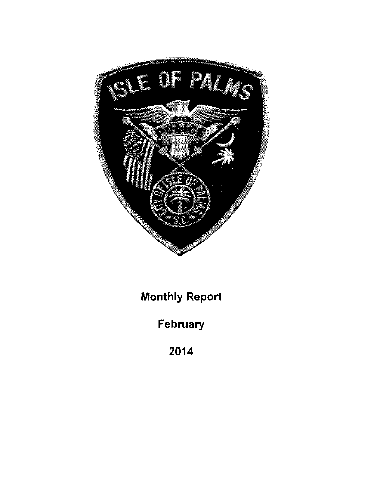

Monthiy Report

February

2014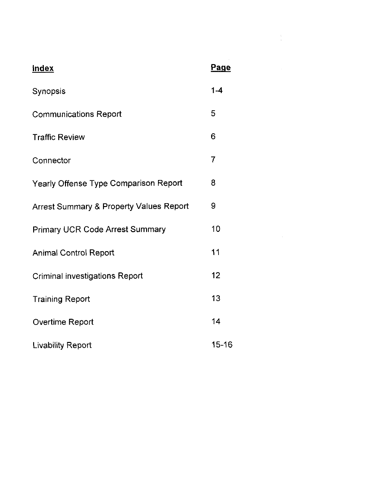| <b>Index</b>                                       | Page    |
|----------------------------------------------------|---------|
| Synopsis                                           | $1 - 4$ |
| <b>Communications Report</b>                       | 5       |
| <b>Traffic Review</b>                              | 6       |
| Connector                                          | 7       |
| Yearly Offense Type Comparison Report              | 8       |
| <b>Arrest Summary &amp; Property Values Report</b> | 9       |
| <b>Primary UCR Code Arrest Summary</b>             | 10      |
| <b>Animal Control Report</b>                       | 11      |
| <b>Criminal investigations Report</b>              | 12      |
| <b>Training Report</b>                             | 13      |
| Overtime Report                                    | 14      |
| <b>Livability Report</b>                           | 15-16   |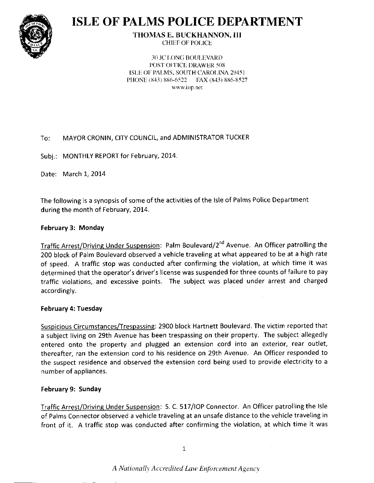

# **ISLE OF PALMS POLICE DEPARTMENT**

**THOMAS E. BUCKHANNON, III CHIEF OF POLICE** 

**30 JC LONG BOULEVARD** POST OFFICE DRAWER 508 ISLE OF PALMS, SOUTH CAROLINA 29451 PHONE (843) 886-6522 FAX (843) 886-8527 www.iop.net

### MAYOR CRONIN, CITY COUNCIL, and ADMINISTRATOR TUCKER  $To:$

Subj.: MONTHLY REPORT for February, 2014.

Date: March 1, 2014

The following is a synopsis of some of the activities of the Isle of Palms Police Department during the month of February, 2014.

# February 3: Monday

Traffic Arrest/Driving Under Suspension: Palm Boulevard/2<sup>nd</sup> Avenue. An Officer patrolling the 200 block of Palm Boulevard observed a vehicle traveling at what appeared to be at a high rate of speed. A traffic stop was conducted after confirming the violation, at which time it was determined that the operator's driver's license was suspended for three counts of failure to pay traffic violations, and excessive points. The subject was placed under arrest and charged accordingly.

# February 4: Tuesday

Suspicious Circumstances/Trespassing: 2900 block Hartnett Boulevard. The victim reported that a subject living on 29th Avenue has been trespassing on their property. The subject allegedly entered onto the property and plugged an extension cord into an exterior, rear outlet, thereafter, ran the extension cord to his residence on 29th Avenue. An Officer responded to the suspect residence and observed the extension cord being used to provide electricity to a number of appliances.

# February 9: Sunday

Traffic Arrest/Driving Under Suspension: S. C. 517/IOP Connector. An Officer patrolling the Isle of Palms Connector observed a vehicle traveling at an unsafe distance to the vehicle traveling in front of it. A traffic stop was conducted after confirming the violation, at which time it was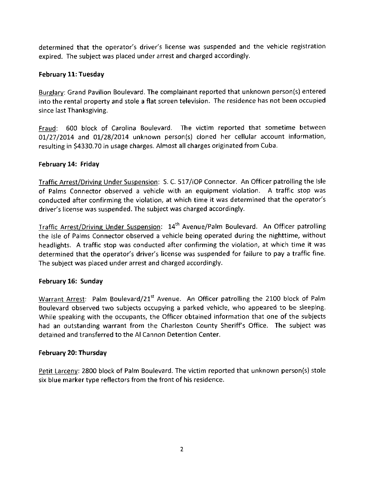determined that the operator's driver's license was suspended and the vehicle registration expired. The subject was placed under arrest and charged accordingly.

# February 11: Tuesday

Burglarv: Grand Pavilion Boulevard. The complainant reported that unknown person(s) entered into the rental property and stole a flat screen television. The residence has not been occupied since last Thanksgiving.

Fraud: 600 block of Carolina Boulevard. The victim reported that sometime between 01/27/2014 and 01/28/2014 unknown person(s) cloned her cellular account information, resulting in 54330.70 in usage charges. Almost all charges originated from Cuba.

# February 14: Friday

Traffic Arrest/Driving Under Suspension: S. C. 517/IOP Connector. An Officer patrolling the Isle of Palms Connector observed a vehicle with an equipment violation. A traffic stop was conducted after confirming the violation, at which time it was determined that the operator's driver's license was suspended. The subject was charged accordingly.

Traffic Arrest/Driving Under Suspension: 14th Avenue/Palm Boulevard. An Officer patrolling the lsle of Palms Connector observed a vehicle being operated during the nighttime, without headlights. A traffic stop was conducted after confirming the violation, at which time it was determined that the operator's driver's license was suspended for failure to pay a traffic fine. The subject was placed under arrest and charged accordingly.

# February 16: Sunday

Warrant Arrest: Palm Boulevard/21<sup>st</sup> Avenue. An Officer patrolling the 2100 block of Palm Boulevard observed two subjects occupying a parked vehicle, who appeared to be sleeping. While speaking with the occupants, the Officer obtained information that one of the subjects had an outstanding warrant from the Charleston County Sheriff's Office. The subject was detained and transferred to the Al Cannon Detention Center.

# February 20: Thursday

Petit Larceny: 2800 block of Palm Boulevard. The victim reported that unknown person(s) stole six blue marker type reflectors from the front of his residence.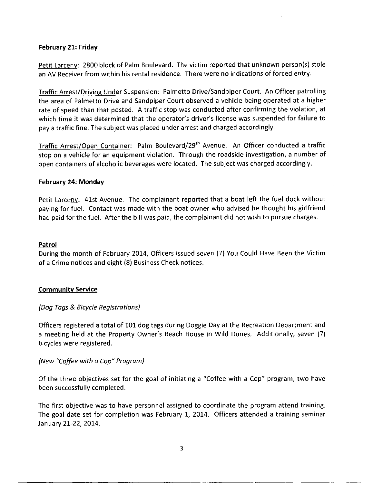# February 21: Friday

Petit Larcenv: 2800 block of Palm Boulevard. The victim reported that unknown person(s) stole an AV Receiver fom within his rental residence. There were no indications of forced entry.

Traffic Arrest/Drivins Under Suspension: Palmetto Drive/Sandpiper Court. An Officer patrolling the area of Palmetto Drive and Sandpiper Court observed a vehicle being operated at a higher rate of speed than that posted. A traffic stop was conducted after confirming the violation, at which time it was determined that the operator's driver's license was suspended for failure to pay a traffic fine. The subject was placed under arrest and charged accordingly.

Traffic Arrest/Open Container: Palm Boulevard/29<sup>th</sup> Avenue. An Officer conducted a traffic stop on a vehicle for an equipment violation. Through the roadside investigation, a number of open containers of alcoholic beverages were located. The subject was charged accordingly.

### February 24: Monday

Petit Larceny: 41st Avenue. The complainant reported that a boat left the fuel dock without paying for fuel. Contact was made with the boat owner who advised he thought his girlfriend had paid for the fuel. After the bill was paid, the complainant did not wish to pursue charges.

### Patrol

During the month of February 2014, Officers issued seven (7) You Could Have Been the Victim of a Crime notices and eight (8) Business Check notices.

### **Community Service**

# (Dog Togs & Bicycle Registrotions)

Officers registered atotal of 10L dog tags during Doggie Day at the Recreation Department and a meeting held at the Property Owner's Beach House in Wild Dunes. Additionally, seven (7) bicycles were registered.

### (New "Coffee with o Cop" Program)

Of the three objectives set for the goal of initiating a "Coffee with a Cop" program, two have been successfully completed.

The first objective was to have personnel assigned to coordinate the program attend training. The goal date set for completion was February 1, 2014. Officers attended a training seminar Januarv 27-22, 2OI4.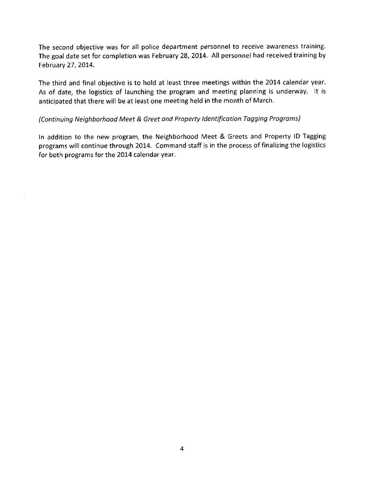The second objective was for all police department personnel to receive awareness training. The goal date set for completion was February 28,2OI4. All personnel had received training by February 27, 2014.

The third and final objective is to hold at least three meetings within the 2014 calendar year. As of date, the logistics of launching the program and meeting planning is underway. lt is anticipated that there will be at least one meeting held in the month of March.

# (Continuing Neighborhood Meet & Greet and Property Identification Tagging Programs)

In addition to the new program, the Neighborhood Meet & Greets and Property lD Tagging programs will continue through 2014. Command staff is in the process of finalizing the logistics for both programs for the 2014 calendar year.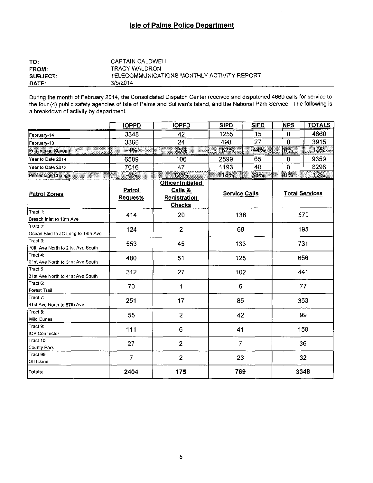# **Isle of Palms Police Department**

| TO:             | CAPTAIN CALDWELL                           |
|-----------------|--------------------------------------------|
| <b>FROM:</b>    | TRACY WALDRON                              |
| <b>SUBJECT:</b> | TELECOMMUNICATIONS MONTHLY ACTIVITY REPORT |
| DATE:           | 3/5/2014                                   |

During the month of February 2014, the Consolidated Dispatch Center received and dispatched 4660 calls for service to the four (4) public safety agencies of Isle of Palms and Sullivan's Island, and the National Park Service. The following is a breakdown of activity by department.

|                                               | <b>IOPPD</b>              | <b>IOPFD</b>                                                                | <b>SIPD</b>          | <b>SIFD</b> | <b>NPS</b>     | <b>TOTALS</b>         |
|-----------------------------------------------|---------------------------|-----------------------------------------------------------------------------|----------------------|-------------|----------------|-----------------------|
| February-14                                   | 3348                      | 42                                                                          | 1255                 | 15          | 0              | 4660                  |
| February-13                                   | 3366                      | 24                                                                          | 498                  | 27          | $\overline{0}$ | 3915                  |
| Percentage Change                             | $-1\%$                    | 75%                                                                         | 152%                 | $-44%$      | $0\%$          | 19%                   |
| Year to Date 2014                             | 6589                      | 106                                                                         | 2599                 | 65          | 0              | 9359                  |
| Year to Date 2013                             | 7016                      | 47                                                                          | 1193                 | 40          | $\overline{0}$ | 8296                  |
| <b>UNITED STATES</b><br>Percentage Change     | -6%                       | 126%                                                                        | 118%                 | 63%         | $0\%$          | 13%                   |
| <b>Patrol Zones</b>                           | Patrol<br><u>Requests</u> | <b>Officer Initiated</b><br>Calls &<br><b>Registration</b><br><b>Checks</b> | <b>Service Calls</b> |             |                | <b>Total Services</b> |
| Tract 1:<br>Breach Inlet to 10th Ave          | 414                       | 20                                                                          | 136                  |             |                | 570                   |
| Tract 2:<br>Ocean Blvd to JC Long to 14th Ave | 124                       | $\overline{2}$                                                              | 69                   |             |                | 195                   |
| Tract 3:<br>10th Ave North to 21st Ave South  | 553                       | 45                                                                          | 133                  |             | 731            |                       |
| Tract 4:<br>21st Ave North to 31st Ave South  | 480                       | 51                                                                          | 125                  |             |                | 656                   |
| Tract 5:<br>31st Ave North to 41st Ave South  | 312                       | 27                                                                          | 102                  |             | 441            |                       |
| Tract 6:<br>Forest Trail                      | 70                        | 1                                                                           | 6                    |             |                | 77                    |
| Tract 7:<br>41st Ave North to 57th Ave        | 251                       | 17                                                                          | 85                   |             |                | 353                   |
| Tract 8:<br><b>Wild Dunes</b>                 | 55                        | $\overline{c}$                                                              | 42                   |             |                | 99                    |
| Tract 9:<br>IOP Connector                     | 111                       | 6                                                                           | 41                   |             |                | 158                   |
| Tract 10:<br>County Park                      | 27                        | $\overline{c}$                                                              | $\overline{7}$       |             |                | 36                    |
| Tract 99:<br>Off Island                       | $\overline{7}$            | $\overline{c}$                                                              | 23                   |             |                | 32                    |
| Totals:                                       | 2404                      | 175                                                                         | 769                  |             | 3348           |                       |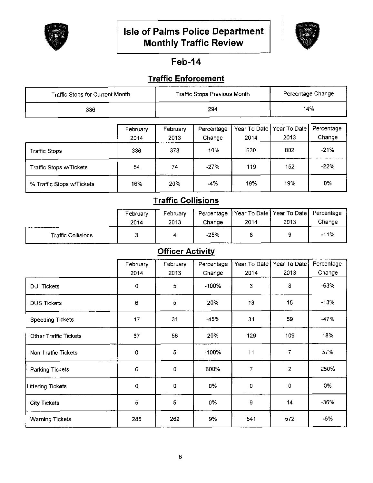



# **Feb-14**

# **Traffic Enforcement**

| Traffic Stops for Current Month |                  |                  | <b>Traffic Stops Previous Month</b> |                        |                      | Percentage Change    |
|---------------------------------|------------------|------------------|-------------------------------------|------------------------|----------------------|----------------------|
| 336                             |                  |                  | 294                                 |                        |                      | 14%                  |
|                                 |                  |                  |                                     |                        |                      |                      |
|                                 | February<br>2014 | February<br>2013 | Percentage<br>Change                | Year To Date  <br>2014 | Year To Date<br>2013 | Percentage<br>Change |
| Traffic Stops                   | 336              | 373              | -10%                                | 630                    | 802                  | $-21%$               |
| Traffic Stops w/Tickets         | 54               | 74               | $-27%$                              | 119                    | 152                  | $-22%$               |
| % Traffic Stops w/Tickets       | 16%              | 20%              | -4%                                 | 19%                    | 19%                  | 0%                   |

# **Traffic Collisions**

|                           | February | February | Percentage  |      | Year To Date Year To Date | Percentage |
|---------------------------|----------|----------|-------------|------|---------------------------|------------|
|                           | 2014     | 2013     | Change      | 2014 | 2013                      | Change     |
| <b>Traffic Collisions</b> |          |          | $-25%$<br>. |      |                           | $-11%$     |

# **Officer Activity**

|                              | February | February       | Percentage | Year To Date | Year To Date   | Percentage |
|------------------------------|----------|----------------|------------|--------------|----------------|------------|
|                              | 2014     | 2013           | Change     | 2014         | 2013           | Change     |
| <b>DUI Tickets</b>           | 0        | 5              | $-100%$    | 3            | 8              | $-63%$     |
| <b>DUS Tickets</b>           | 6        | $\overline{5}$ | 20%        | 13           | 15             | $-13%$     |
| <b>Speeding Tickets</b>      | 17       | 31             | -45%       | 31           | 59             | $-47%$     |
| <b>Other Traffic Tickets</b> | 67       | 56             | 20%        | 129          | 109            | 18%        |
| Non Traffic Tickets          | 0        | 5              | $-100%$    | 11           | 7              | 57%        |
| Parking Tickets              | 6        | 0              | 600%       | 7            | $\overline{2}$ | 250%       |
| Littering Tickets            | 0        | 0              | 0%         | $\circ$      | 0              | 0%         |
| <b>City Tickets</b>          | 5        | 5              | 0%         | 9            | 14             | $-36%$     |
| <b>Warning Tickets</b>       | 285      | 262            | 9%         | 541          | 572            | $-5%$      |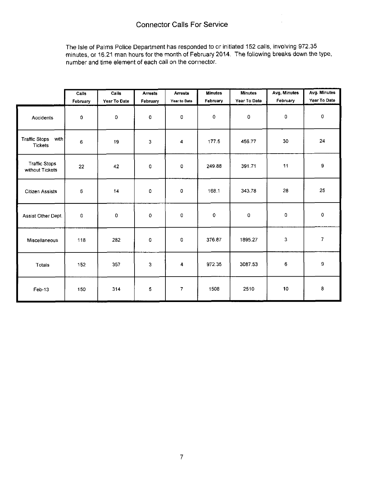The Isle of Palms Police Department has responded to or initiated 152 calls, involving 972.35 minutes, or 16.21 man hours for the month of February 2014. The following breaks down the type, number and time element of each call on the connector.

|                                         | Calls    | Calls        | <b>Arrests</b> | <b>Arrests</b>     | <b>Minutes</b> | <b>Minutes</b><br>Year To Date | Avg. Minutes<br>February | Avg. Minutes<br>Year To Date |
|-----------------------------------------|----------|--------------|----------------|--------------------|----------------|--------------------------------|--------------------------|------------------------------|
|                                         | February | Year To Date | February       | Year to Date       | February       |                                |                          |                              |
| Accidents                               | 0        | $\mathbf 0$  | $\mathbf 0$    | 0                  | $\pmb{0}$      | $\pmb{\mathsf{O}}$             | 0                        | $\pmb{0}$                    |
| Traffic Stops with<br>Tickets           | 6        | 19           | 3              | 4                  | 177.5          | 456.77                         | 30                       | 24                           |
| <b>Traffic Stops</b><br>without Tickets | 22       | 42           | 0              | 0                  | 249.88         | 391 71                         | 11                       | 9                            |
| <b>Citizen Assists</b>                  | 6        | 14           | $\mathbf 0$    | $\pmb{\mathsf{O}}$ | 168.1          | 343.78                         | 28                       | 25                           |
| Assist Other Dept.                      | 0        | 0            | $\circ$        | 0                  | $\mathbf 0$    | 0                              | 0                        | $\,0\,$                      |
| Miscellaneous                           | 118      | 282          | O              | 0                  | 376.87         | 1895.27                        | 3                        | $\overline{7}$               |
| Totals                                  | 152      | 357          | 3              | 4                  | 972.35         | 3087.53                        | $\mathbf 6$              | 9                            |
| Feb-13                                  | 150      | 314          | 5              | 7                  | 1508           | 2510                           | 10                       | $\bf 8$                      |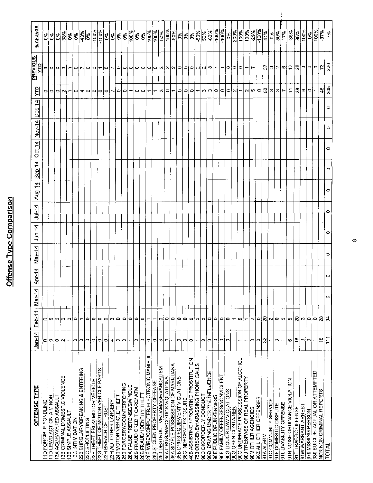# Offense Type Comparison

| OFFENSE TYPE                           | $Jan-14$                 | Feb-14                   | 귀<br>Μāι | Apr-14  | $May-14$ | $J$ un-14 | $J$ ul-14 | Aug-14  | $SEp-14$ | $Qct-14$ | $Nov-14$ | $Dec-14$ | 의                        | <b>PREVIOUS</b><br>Ê          | % CHANGE                                                                                                                                                                                                                                                                                                                                                                                                                              |
|----------------------------------------|--------------------------|--------------------------|----------|---------|----------|-----------|-----------|---------|----------|----------|----------|----------|--------------------------|-------------------------------|---------------------------------------------------------------------------------------------------------------------------------------------------------------------------------------------------------------------------------------------------------------------------------------------------------------------------------------------------------------------------------------------------------------------------------------|
|                                        |                          | 0                        |          |         |          |           |           |         |          |          |          |          | 0                        |                               |                                                                                                                                                                                                                                                                                                                                                                                                                                       |
|                                        | 이어                       | 0                        |          |         |          |           |           |         |          |          |          |          | $\circ$                  |                               | နဲ့နွိုနွ                                                                                                                                                                                                                                                                                                                                                                                                                             |
|                                        | 0                        | 0                        |          |         |          |           |           |         |          |          |          |          | $\circ$                  |                               |                                                                                                                                                                                                                                                                                                                                                                                                                                       |
|                                        | $\scriptstyle\mathtt{N}$ | 0                        |          |         |          |           |           |         |          |          |          |          | $\sim$                   | 이이이찌                          | $\frac{8}{33}$                                                                                                                                                                                                                                                                                                                                                                                                                        |
|                                        |                          | 0                        |          |         |          |           |           |         |          |          |          |          | $\mathbf$                | $\overline{\phantom{0}}$      | $\sqrt{60}$                                                                                                                                                                                                                                                                                                                                                                                                                           |
|                                        | 0                        | 0                        |          |         |          |           |           |         |          |          |          |          | C                        | $\circ$ $\sim$                | 0%                                                                                                                                                                                                                                                                                                                                                                                                                                    |
|                                        | ∾                        |                          |          |         |          |           |           |         |          |          |          |          | ₹                        |                               | $\frac{1}{3\%}$                                                                                                                                                                                                                                                                                                                                                                                                                       |
|                                        | $\circ$                  | 0                        |          |         |          |           |           |         |          |          |          |          | $\circ$                  | $\circ$                       | $\frac{8}{3}$                                                                                                                                                                                                                                                                                                                                                                                                                         |
|                                        | ¢                        | 0                        |          |         |          |           |           |         |          |          |          |          | ⊝                        | $\sim$                        | $\frac{800}{100}$                                                                                                                                                                                                                                                                                                                                                                                                                     |
| 23G THEFT OF MOTOR VEHICLE PARTS       | 0                        | ۰                        |          |         |          |           |           |         |          |          |          |          | $\circ$                  | $\overline{\phantom{0}}$      | $\frac{960}{100\%}$                                                                                                                                                                                                                                                                                                                                                                                                                   |
|                                        | ۰                        | 0                        |          |         |          |           |           |         |          |          |          |          | $\circ$                  |                               | $\frac{5}{6}$                                                                                                                                                                                                                                                                                                                                                                                                                         |
|                                        | 4                        | c                        |          |         |          |           |           |         |          |          |          |          | א                        | 0  ∼                          | $ \mathcal{\mathring{E}} $                                                                                                                                                                                                                                                                                                                                                                                                            |
|                                        | ۰                        | 0                        |          |         |          |           |           |         |          |          |          |          | 0                        | $\circ$                       | ခြိ                                                                                                                                                                                                                                                                                                                                                                                                                                   |
|                                        | 0                        | 0                        |          |         |          |           |           |         |          |          |          |          | $\circ$                  |                               |                                                                                                                                                                                                                                                                                                                                                                                                                                       |
|                                        | $\overline{\phantom{0}}$ | 0                        |          |         |          |           |           |         |          |          |          |          | Ť                        |                               | 0%<br>100%                                                                                                                                                                                                                                                                                                                                                                                                                            |
|                                        | 0                        | 0                        |          |         |          |           |           |         |          |          |          |          |                          |                               |                                                                                                                                                                                                                                                                                                                                                                                                                                       |
|                                        | ۰                        | ۰                        |          |         |          |           |           |         |          |          |          |          | o∣o                      |                               | နေ့ြ                                                                                                                                                                                                                                                                                                                                                                                                                                  |
| 26E WIRE/COMPUTER/ELECTRONIC MANIPU    | $\circ$                  | $\overline{ }$           |          |         |          |           |           |         |          |          |          |          | $\overline{\phantom{m}}$ |                               |                                                                                                                                                                                                                                                                                                                                                                                                                                       |
|                                        | $\circ$                  | $\overline{\phantom{0}}$ |          |         |          |           |           |         |          |          |          |          | $\overline{\phantom{0}}$ |                               |                                                                                                                                                                                                                                                                                                                                                                                                                                       |
| 290 DESTRUCTIVE/DAMAGE/VANDALISM       | $\mathbf{c}$             | $\circ$                  |          |         |          |           |           |         |          |          |          |          |                          |                               |                                                                                                                                                                                                                                                                                                                                                                                                                                       |
|                                        | $\circ$                  | $\circ$                  |          |         |          |           |           |         |          |          |          |          | റ∣റ                      |                               |                                                                                                                                                                                                                                                                                                                                                                                                                                       |
| 35A SIMPLE POSSESSION OF MARIJUANA     | $\overline{\phantom{0}}$ | $\circ$                  |          |         |          |           |           |         |          |          |          |          | $\overline{\phantom{a}}$ |                               |                                                                                                                                                                                                                                                                                                                                                                                                                                       |
|                                        | $\circ$                  | ۰                        |          |         |          |           |           |         |          |          |          |          | $\circ$                  | 0 0 0 0 0 0 N N 0 0 0 N N 0 - | ${\frac{\left  \frac{1}{2} \right  ^{8} \left  \frac{1}{2} \right  ^{8} \left  \frac{1}{2} \right  ^{8} \left  \frac{1}{2} \right  ^{8} \left  \frac{1}{2} \right  ^{8} \left  \frac{1}{2} \right  ^{8} \left  \frac{1}{2} \right  ^{8} \left  \frac{1}{2} \right  ^{8} \left  \frac{1}{2} \right  ^{8} \left  \frac{1}{2} \right  ^{8} \left  \frac{1}{2} \right  ^{8} \left  \frac{1}{2} \right  ^{8} \left  \frac{1}{2} \right  ^$ |
|                                        | $\circ$                  | $\circ$                  |          |         |          |           |           |         |          |          |          |          |                          |                               |                                                                                                                                                                                                                                                                                                                                                                                                                                       |
| 40B ASSISTING / PROMITING PROSTITUTION | $\circ$                  | 0                        |          |         |          |           |           |         |          |          |          |          | 0 0                      |                               |                                                                                                                                                                                                                                                                                                                                                                                                                                       |
| 753 OBSCENE/HARASSING PHONE CALLS      | $\overline{\phantom{0}}$ | $\circ$                  |          |         |          |           |           |         |          |          |          |          | $\overline{\mathbf{r}}$  |                               |                                                                                                                                                                                                                                                                                                                                                                                                                                       |
|                                        | S                        | 0                        |          |         |          |           |           |         |          |          |          |          |                          |                               |                                                                                                                                                                                                                                                                                                                                                                                                                                       |
| 90D DRIVING UNDER THE INFLUENCE        | رم                       | $\circ$                  |          |         |          |           |           |         |          |          |          |          |                          |                               |                                                                                                                                                                                                                                                                                                                                                                                                                                       |
|                                        | $\circ$                  | $\circ$                  |          |         |          |           |           |         |          |          |          |          |                          |                               |                                                                                                                                                                                                                                                                                                                                                                                                                                       |
|                                        | $\circ$                  | $\circ$                  |          |         |          |           |           |         |          |          |          |          | m n 0                    | $\overline{\phantom{a}}$      | $\frac{88}{1000}$                                                                                                                                                                                                                                                                                                                                                                                                                     |
|                                        | $\circ$                  | $\circ$                  |          |         |          |           |           |         |          |          |          |          |                          |                               | $\frac{95}{60}$                                                                                                                                                                                                                                                                                                                                                                                                                       |
|                                        | Ţ                        | $\overline{\phantom{0}}$ |          |         |          |           |           |         |          |          |          |          | $ O U  -$                | 0 0 0                         |                                                                                                                                                                                                                                                                                                                                                                                                                                       |
| 90G UNDERAGE POSSESSION OF ALCOHOL     | ↽                        | $\circ$                  |          |         |          |           |           |         |          |          |          |          |                          |                               | $\frac{200\%}{100\%}$                                                                                                                                                                                                                                                                                                                                                                                                                 |
|                                        | ÷                        | $\overline{\phantom{0}}$ |          |         |          |           |           |         |          |          |          |          |                          | $\overline{\phantom{0}}$      | $\frac{100\%}{100\%}$                                                                                                                                                                                                                                                                                                                                                                                                                 |
|                                        | O)                       | Z                        |          |         |          |           |           |         |          |          |          |          | ∾∣ೂ∣೦                    | $\overline{\phantom{a}}$      | $-29%$                                                                                                                                                                                                                                                                                                                                                                                                                                |
|                                        | 0                        | $\circ$                  |          |         |          |           |           |         |          |          |          |          |                          |                               | -100%                                                                                                                                                                                                                                                                                                                                                                                                                                 |
|                                        | $\approx$                | $\mathbb{R}$             |          |         |          |           |           |         |          |          |          |          | ិ និ                     | $\frac{2}{5}$                 | 41%                                                                                                                                                                                                                                                                                                                                                                                                                                   |
|                                        | ↽                        | $\sim$                   |          |         |          |           |           |         |          |          |          |          | $\mathbf{c}$             |                               | $0\%$                                                                                                                                                                                                                                                                                                                                                                                                                                 |
|                                        | Ø                        | $\circ$                  |          |         |          |           |           |         |          |          |          |          |                          |                               | $\frac{8}{3}$                                                                                                                                                                                                                                                                                                                                                                                                                         |
|                                        | $\overline{\phantom{0}}$ | 6                        |          |         |          |           |           |         |          |          |          |          | $ \mathbf{c} $ r $\sim$  | ന വ യ                         | 17%                                                                                                                                                                                                                                                                                                                                                                                                                                   |
|                                        | 0                        | L)                       |          |         |          |           |           |         |          |          |          |          | $\overline{1}$           | $\ddot{ }$                    | $-35%$                                                                                                                                                                                                                                                                                                                                                                                                                                |
|                                        | ¦⊕                       | 8                        |          |         |          |           |           |         |          |          |          |          | 38                       |                               | 36%                                                                                                                                                                                                                                                                                                                                                                                                                                   |
|                                        | Ğ,                       | C)                       |          |         |          |           |           |         |          |          |          |          |                          | ∣≋¦∾∣೦                        | 100%                                                                                                                                                                                                                                                                                                                                                                                                                                  |
|                                        | $\circ$                  | $\circ$                  |          |         |          |           |           |         |          |          |          |          | ه∣ه                      |                               | $\frac{960}{6}$                                                                                                                                                                                                                                                                                                                                                                                                                       |
| 980 SUICIDE- ACTUAL OR ATTEMPTED       | ↽                        | $\circ$                  |          |         |          |           |           |         |          |          |          |          |                          | $\circ$                       | 100%                                                                                                                                                                                                                                                                                                                                                                                                                                  |
|                                        | ٩                        | $\boldsymbol{z}$         |          |         |          |           |           |         |          |          |          |          | 46                       | $\overline{r}$                | 37%                                                                                                                                                                                                                                                                                                                                                                                                                                   |
|                                        | 111                      | ă                        | c        | $\circ$ | $\circ$  | 0         | $\circ$   | $\circ$ | O        | $\circ$  | ٥        | ۰        | 205                      | 220                           | 7%                                                                                                                                                                                                                                                                                                                                                                                                                                    |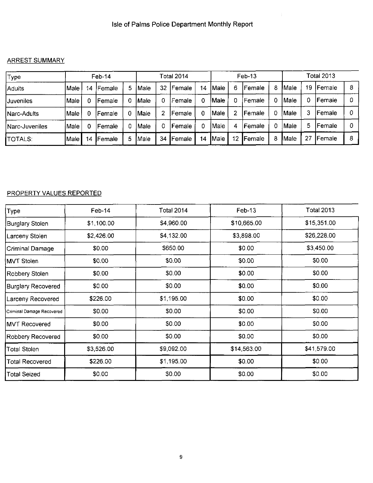# ARREST SUMMARY

| Type             |       |    | $Feb-14$       |   |             |    | Total 2014     |    |               |    | $Feb-13$        |   |       |    | <b>Total 2013</b> |   |
|------------------|-------|----|----------------|---|-------------|----|----------------|----|---------------|----|-----------------|---|-------|----|-------------------|---|
| <b>Adults</b>    | Male  | 14 | <b>IFemale</b> | 5 | lMale       | 32 | <b>IFemale</b> | 14 | Male          | 6  | lFemale         | 8 | !Male | 19 | <b>IFemale</b>    | 8 |
| <b>Juveniles</b> | Male  |    | <b> Female</b> | 0 | <b>Male</b> |    | Female         | 0  | <b>Male</b>   |    | Female          | 0 | Male  | 0  | Female            |   |
| Narc-Adults      | Male  |    | l Female       | 0 | lMale       |    | <b>Female</b>  |    | Male          |    | Female          | 0 | Male  | 3  | Female            |   |
| Narc-Juveniles   | Male) |    | <b> Female</b> |   | Male        |    | Female         | 0. | Male          | 4  | Female          | 0 | Male) | 5  | Female            |   |
| <b>TOTALS:</b>   | Male  | 14 | Female         | 5 | Male:       | 34 | <b>IFemale</b> | 14 | <b>I</b> Male | 12 | <b>I</b> Female | 8 | lMale | 27 | Female            | 8 |

# **PROPERTY VALUES REPORTED**

| Type)                     | Feb-14     | <b>Total 2014</b> | $Feb-13$    | <b>Total 2013</b> |
|---------------------------|------------|-------------------|-------------|-------------------|
| Burglary Stolen           | \$1,100.00 | \$4,960.00        | \$10,665.00 | \$15,351.00       |
| Larceny Stolen            | \$2,426.00 | \$4,132.00        | \$3,898.00  | \$26,228.00       |
| <b>Criminal Damage</b>    | \$0.00     | \$650.00          | \$0.00      | \$3,450.00        |
| <b>MVT Stolen</b>         | \$0.00     | \$0.00            | \$0.00      | \$0.00            |
| Robbery Stolen            | \$0.00     | \$0.00            | \$0.00      | \$0.00            |
| Burglary Recovered        | \$0.00     | \$0.00            | \$0.00      | \$0.00            |
| Larceny Recovered         | \$226.00   | \$1,195.00        | \$0.00      | \$0.00            |
| Criminal Damage Recovered | \$0.00     | \$0.00            | \$0.00      | \$0.00            |
| <b>MVT Recovered</b>      | \$0.00     | \$0.00            | \$0.00      | \$0.00            |
| Robbery Recovered         | \$0.00     | \$0.00            | \$0.00      | \$0.00            |
| <b>Total Stolen</b>       | \$3,526.00 | \$9,092.00        | \$14,563.00 | \$41,579.00       |
| <b>Total Recovered</b>    | \$226.00   | \$1,195.00        | \$0.00      | \$0.00            |
| <b>Total Seized</b>       | \$0.00     | \$0.00            | \$0.00      | \$0.00            |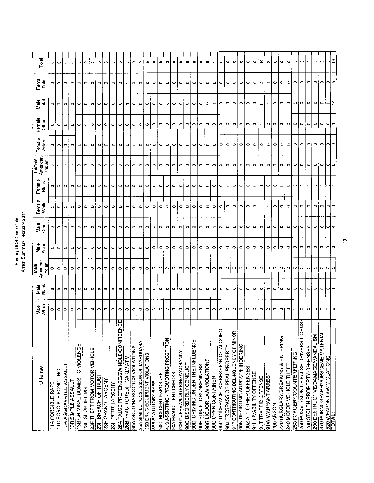|                                           |               |                          |                           | Arrest Summary February 2014<br>Primary UCR Code Only |                |                          |                          |                                          |                 |                          |               |                          |                          |
|-------------------------------------------|---------------|--------------------------|---------------------------|-------------------------------------------------------|----------------|--------------------------|--------------------------|------------------------------------------|-----------------|--------------------------|---------------|--------------------------|--------------------------|
| Offense                                   | Male<br>White | Male<br>Black            | American<br>Male<br>India | Male<br>Asian                                         | Maley<br>Othey | Female<br>White          | Female<br>Black          | American <sup>®</sup><br>Indian<br>Femal | Female<br>Asian | Female<br>Other          | Male<br>Total | Femal<br>Total           | Total                    |
| <b>11A FORCIBLE RAPE</b>                  | 0             | ۰                        |                           | 0                                                     | 0              | ۰                        |                          |                                          |                 | 0                        | 0             | 0                        |                          |
| 11D FORCIBLE FONDLING                     | $\circ$       | $\circ$                  | ۰                         | $\circ$                                               |                | ۰                        | ۰                        | O                                        | $\circ$         | $\circ$                  | $\circ$       | o                        | $\circ$                  |
| 13A AGGRAVATED ASSAULT                    | $\circ$       | ۰                        | $\circ$                   | $\circ$                                               | $\circ$ io     | $\circ$                  | $\circ$                  | $\circ$                                  | $\circ$         | $\circ$                  | $\circ$       | $\circ$                  | $\circ$                  |
| 13B SIMPLE ASSAULT                        | $\circ$       | $\circ$                  | $\circ$                   | $\circ$                                               | l o            | $\circ$                  | $\circ$                  | $\circ$                                  | $\circ$         | $\circ$                  | $\circ$       | $\circ$                  | $\circ$                  |
| 13B CRIMINAL DOMESTIC VIOLENCE            | $\circ$       | $\circ$                  | $\circ$                   | $\circ$                                               | $\circ$        | $\circ$                  | $\circ$                  | $\circ$                                  | $\circ$         | $\circ$                  | $\circ$       | $\circ$                  | юI                       |
| 23C SHOPLIFTING                           | $\circ$       | $\circ$                  | $\circ$                   | $\circ$                                               | $\circ$        | ۰                        | $\circ$                  | 0                                        | $\circ$         | $\circ$                  | $\circ$       | $\circ$                  | $\circ$                  |
| 23F THEFT FROM MOTOR VEHICLE              | $\sim$        | $\circ$                  | $\circ$                   | $\circ$                                               | $\circ$        | $\circ$                  | O                        | ۰                                        | $\circ$         | $\circ$                  | ო             | $\circ$                  | ം 1                      |
| 23H BREACH OF TRUST                       | $\circ$       | $\circ$                  | ۰                         | $\circ$                                               | $\circ$        | ۰                        | $\circ$                  | $\circ$                                  | $\circ$         | $\overline{\phantom{0}}$ | $\circ$       | $\circ$                  | $\circ$                  |
| 23H GRAND LARCENY                         | ۰             | $\circ$                  | $\circ$                   | $\circ$                                               | ۰              | ۰                        | $\circ$                  | $\circ$                                  | 0               | $\circ$                  | 0             | $\circ$                  | $\circ$                  |
| 23H PETIT LARCENY                         | $\circ$       | $\circ$                  | ۰                         | $\circ$                                               | $\circ$        | $\circ$                  | $\circ$                  | $\circ$                                  | $\circ$         | $\circ$                  | $\circ$       | $\circ$                  | $\circ$                  |
| ш<br>26A FALSE PRETENSE/SWINDLE/CONFIDENC | ۰             | $\circ$                  | $\circ$                   | $\circ$                                               | $\circ$        | $\circ$                  | O                        | $\circ$                                  | $\circ$         | $\circ$                  | ۰             | $\circ$                  | $\circ$                  |
| 26B FRAUD CREDIT CARD/ ATM                | $\circ$       | $\circ$                  | оI                        | $\circ$                                               | $\circ$        | ÷                        | $\circ$                  | $\circ$   $\circ$                        | Įо              | $\circ$                  | ۳             | $\overline{\phantom{0}}$ | NO                       |
| 35A DRUG/NARCOTICS VIOLATIONS             | $\circ$       | $\circ$                  | $\circ$                   | $\circ$                                               | $\circ$        | ۰                        | $\circ$                  |                                          | $\circ$         | $\circ$                  | 0             | 0                        |                          |
| 35A SIMPLE POSSESSION OF MARIJUANA        | $\circ$       | $\circ$                  | $\circ$                   | $\circ$                                               | 0.             | $\circ$                  | $\circ$                  | $\circ$                                  | $\circ$         | $\circ$                  | $\circ$       | $\circ$                  | ۰                        |
| 35B DRUG EQUIPMENT VIOLATIONS             | $\circ$       | $\circ$                  | $\circ$                   | $\circ$                                               | $\circ$        | $\circ$                  | $\circ$                  | $\circ$                                  | $\circ$         | $\circ$                  | 0             | $\circ$                  | $\circ$                  |
| 36B STATUTORY RAPE                        | $\circ$       | $\circ$                  | $\circ$                   | $\circ$                                               | $\circ$        | ۰                        | $\circ$                  | $\circ$   $\circ$                        | $\circ$         | $\circ$                  | 0             | $\circ$                  | $\circ$                  |
| 36C INDECENT EXPOSURE                     | $\circ$       | $\circ$                  | $\circ$                   | $\circ$                                               | $\circ$        | $\circ$                  | $\circ$                  |                                          | $\circ$         | $\circ$                  | $\circ$       | $\circ$                  | $\circ$                  |
| 40B ASSISTING / PROMOTING PROSTITION      | $\circ$       | $\circ$                  | $\circ$                   | $\circ$                                               | $\circ$        | ۰                        | $\circ$                  | $\circ$                                  | o               | $\circ$                  | o             | $\circ$                  | $\circ$                  |
| 90A FRAUDULENT CHECKS                     | $\circ$       | $\circ$                  | $\circ$                   | $\circ$                                               | $\bullet$      | $\circ$                  | $\circ$                  | $\circ$ lo                               | $\circ$         | $\circ$                  | 0             | $\circ$                  | $\circ$                  |
| 90B CURFEWILOITERING/VAGRANCY             | $\circ$       | l o                      | $\circ$                   | $\circ$                                               | $\circ$        | ۰                        | $\circ$                  |                                          | $\circ$         | $\circ$                  | $\circ$       | $\circ$                  | $\circ$                  |
| 90C DISORDERLY CONDUCT                    | $\circ$       | $\circ$                  | $\circ$                   | $\circ$                                               | $\circ$        | $\circ$                  | $\circ$                  | $\circ$                                  | $\circ$         | $\circ$                  | ۰             | o                        | $\circ$                  |
| 90D DRIVING UNDER THE INFLUENCE           | $\circ$       | $\circ$                  | $\circ$   $\circ$         | $\circ$                                               | $\circ$        | ۰                        | $\circ$                  | $\circ$                                  | $\circ$         | $\circ$                  | $\circ$       | $\circ$                  | $\circ$                  |
| 90E PUBLIC DRUNKENNESS                    | $\circ$       | $\circ$                  |                           | $\circ$                                               | $\circ$        | 0                        | $\circ$                  | $\circ$                                  | $\circ$         | $\circ$                  | ۰             | $\circ$                  | $\circ$                  |
| 90G LIQUOR LAW VIOLATIONS                 | $\circ$       | $\circ$                  | $\circ$                   | $\circ$                                               | $\circ$        | ۰                        | O                        | $\circ$                                  | $\circ$         | ۰                        | 0             | $\circ$                  | $\circ$                  |
| 90G OPEN CONTAINER                        | $\circ$       | $\circ$                  | $\circ$                   | $\circ$                                               | ۳              | 0                        | $\circ$                  | $\circ$                                  | $\circ$         | $\circ$                  | ↽             | ۰                        | $\overline{\phantom{0}}$ |
| 90G UNDERAGE POSSESSION OF ALCOHOL        | $\circ$       | $\circ$                  | $\circ$                   | o                                                     | о              | ٥                        | $\circ$                  | $\circ$                                  | $\circ$         | 0                        | ۰             | $\circ$                  | $\circ$                  |
| 90J TRESPASS OF REAL PROPERTY             | $\circ$       | $\circ$                  | $\circ$                   | ۰                                                     | $\circ$        | $\circ$                  | $\circ$                  | $\circ$                                  | $\circ$         | $\circ$                  | $\circ$       | $\circ$                  | $\circ$                  |
| 90P CONTRIBUTING DELINQUENCY OF MINOR     | $\circ$       | $\circ$                  | $\circ$                   | $\circ$                                               | $\circ$        | $\circ$                  | $\circ$                  | $\circ$                                  | $\circ$         | $\circ$                  | $\circ$       | $\circ$                  | $\circ$                  |
| 90N RESISTING ARREST/HINDERING            | $\circ$       | $\circ$                  | 10.                       | $\circ$                                               | $\circ$        | 0                        | $\circ$                  | $\Box$                                   | $\bullet$       | $\circ$                  | 0             | $\circ$                  | $\circ$                  |
| 90Z ALL OTHER OFFENSES                    | $\circ$       | $\circ$                  | ⇔                         | ۰                                                     | $\circ$        | ۰                        | $\circ$                  | $\circ$                                  | $\circ$         | ۰                        | ۰             | o                        | $\circ$                  |
| 91L LIVABILITY OFFENSE                    | $\circ$       | $\circ$                  | ۰                         | $\circ$                                               | $\circ$        | ۰                        | $\circ$                  | $\circ$                                  | $\circ$         | ۰                        | ۰             | $\circ$                  | $\circ$                  |
| 91T TRAFFIC OFFENSE                       | ю             | ۰                        | $\circ$                   | $\circ$                                               | $\sim$         |                          | $\overline{\phantom{0}}$ | $\qquad \qquad \circ$                    | $\circ$         | $\overline{\phantom{0}}$ |               | c                        | $\frac{4}{5}$            |
| 91W WARRANT ARREST                        | $\circ$       | $\overline{\phantom{a}}$ | $\circ$                   | $\circ$                                               | $\circ$        | $\overline{\phantom{0}}$ | $\circ$                  | $\circ$                                  | $\circ$         | ۰                        |               |                          | <b>N</b>                 |
| 200 ARSON                                 | $\circ$       | $\circ$                  | $\circ$                   | $\circ$                                               | $\circ$        | ۰                        | ۰                        | $\circ$                                  | $\circ$         | $\circ$                  | ۰             | ۰                        | $\circ$                  |
| 220 BURGLARY/BREAKING & ENTERING          | $\circ$       | $\circ$                  | $\circ$                   | $\circ$                                               | $\circ$        | ۰                        | ۰                        | $\circ$                                  | $\circ$         | $\circ$                  | ۰             | Ф                        | Ф                        |
| 240 MOTOR VEHICLE THEFT                   | $\circ$       | $\circ$                  | $\circ$                   | $\circ$                                               | $\circ$        | ٥                        | $\circ$                  | $\circ$                                  | $\circ$         | 0                        | $\circ$       | $\circ$                  | $\circ$                  |
| 250 FORGERY/COUNTERFEITING                | $\circ$       | $\circ$                  | $\circ$ io                | $\circ$                                               | $\circ$        | $\circ$                  | $\circ$                  | $\circ$                                  | ۰               | $\circ$                  | $\circ$       | $\circ$                  | $\circ$                  |
| 250 POSSESSION OF FALSE DRIVERS LICENSE   | $\circ$       | $\circ$                  |                           | 0                                                     | $\circ$        | ۰                        | $\circ$                  | $\circ$                                  | $\circ$         | $\circ$                  | $\circ$       | $\circ$                  | $\circ$                  |
| 280 STOLEN PROPERTY OFFENSES              | $\circ$       | ۰                        | $\circ$                   | ۰                                                     | $\circ$        | $\circ$                  | $\circ$                  | $\circ$                                  | $\circ$         | ۰                        | $\circ$       | $\circ$                  | ۰                        |
| 290 DESTRUCTIVE/DAMAGE/VANDALISM          | $\circ$       | $\circ$                  | $\circ$                   | $\circ$                                               | $\circ$        | $\circ$                  | $\circ$                  | $\circ$                                  | $\circ$         | ۰                        | $\circ$       | $\circ$                  | $\circ$                  |
| 370 PORNOGRAPHY/OBSCENE MATERIAL          | $\circ$       | $\circ$                  | $\circ$                   | $\circ$                                               | $\circ$        | $\circ$                  | $\circ$                  | $\circ$                                  | $\circ$         | ۰                        | $\circ$       | $\circ$                  | ۰                        |
| 520 WEAPON LAW VIOLATIONS<br>TOTAL:       | $\circ$       | IФ                       | 0 0                       | o.                                                    | ∣⇔∣≁           | 0                        | Þ                        | 0 0                                      | $\circ$         | $\circ$                  | l.            | lolic                    | lо                       |
|                                           | က             |                          |                           | $\circ$                                               |                | e.                       |                          |                                          | $\circ$         |                          | 부             |                          | ≏                        |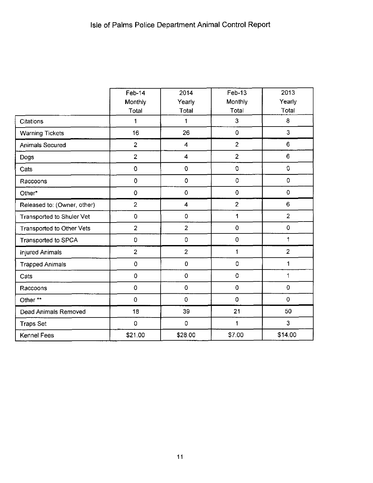|                                  | <b>Feb-14</b>  | 2014                    | Feb-13         | 2013           |
|----------------------------------|----------------|-------------------------|----------------|----------------|
|                                  | Monthly        | Yearly                  | Monthly        | Yearly         |
|                                  | Total          | Total                   | Total          | Total          |
| Citations                        | 1              | 1                       | 3              | 8              |
| <b>Warning Tickets</b>           | 16             | 26                      | 0              | 3              |
| Animals Secured                  | $\overline{2}$ | 4                       | $\overline{c}$ | 6              |
| Dogs                             | $\overline{2}$ | $\overline{\mathbf{4}}$ | $\overline{2}$ | 6              |
| Cats                             | 0              | $\pmb{0}$               | $\mbox{O}$     | $\mathbf 0$    |
| Raccoons                         | 0              | $\pmb{0}$               | $\mathbf 0$    | $\overline{0}$ |
| Other*                           | $\mathbf 0$    | $\mathbf 0$             | $\mathbf 0$    | $\mathbf 0$    |
| Released to: (Owner, other)      | $\overline{2}$ | 4                       | $\overline{2}$ | 6              |
| <b>Transported to Shuler Vet</b> | 0              | 0                       | 1              | $\overline{2}$ |
| Transported to Other Vets        | $\overline{c}$ | $\overline{2}$          | 0              | $\bf{0}$       |
| Transported to SPCA              | 0              | $\mathsf{O}\xspace$     | $\mathbf 0$    | 1              |
| Injured Animals                  | $\overline{2}$ | $\overline{2}$          | 1              | $\overline{2}$ |
| <b>Trapped Animals</b>           | $\pmb{0}$      | $\pmb{0}$               | $\circ$        | $\mathbf{1}$   |
| Cats                             | 0              | $\pmb{0}$               | $\pmb{0}$      | 1              |
| Raccoons                         | $\mathbf 0$    | $\pmb{0}$               | $\pmb{0}$      | $\mathbf 0$    |
| Other**                          | $\mathbf 0$    | $\mathbf 0$             | 0              | $\bf{0}$       |
| Dead Animals Removed             | 18             | 39                      | 21             | 50             |
| <b>Traps Set</b>                 | $\mathbf 0$    | $\mathsf{O}\xspace$     | 1              | 3              |
| Kennel Fees                      | \$21.00        | \$28.00                 | \$7.00         | \$14.00        |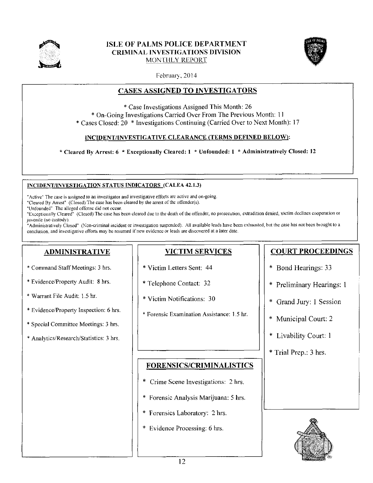

# **ISLE OF PALMS POLICE DEPARTMENT CRIMINAL INVESTIGATIONS DIVISION** MONTHLY REPORT



February, 2014

# **CASES ASSIGNED TO INVESTIGATORS**

\* Case Investigations Assigned This Month: 26 \* On-Going Investigations Carried Over From The Previous Month: 11 \* Cases Closed: 20 \* Investigations Continuing (Carried Over to Next Month): 17

# INCIDENT/INVESTIGATIVE CLEARANCE (TERMS DEFINED BELOW):

\* Cleared By Arrest: 6 \* Exceptionally Cleared: 1 \* Unfounded: 1 \* Administratively Closed: 12

### INCIDENT/INVESTIGATION STATUS INDICATORS (CALEA 42.1.3)

"Active" The case is assigned to an investigator and investigative efforts are active and on-going.

"Cleared By Arrest" (Closed) The case has been cleared by the arrest of the offender(s).

"Unfounded" The alleged offense did not occur.

"Exceptionally Cleared" (Closed) The case has been cleared due to the death of the offender, no prosecution, extradition denied, victim declines cooperation or juvenile (no custody).

"Administratively Closed" (Non-criminal incident or investigation suspended). All available leads have been exhausted, but the case has not been brought to a conclusion, and investigative efforts may be resumed if new evidence or leads are discovered at a later date.

# **ADMINISTRATIVE**

- \* Command Staff Meetings: 3 hrs.
- \* Evidence/Property Audit: 8 hrs.
- \* Warrant File Audit: 1.5 hr.
- \* Evidence/Property Inspection: 6 hrs.
- \* Special Committee Meetings: 3 hrs.
- \* Analytics/Research/Statistics: 3 hrs.

# **VICTIM SERVICES**

- \* Victim Letters Sent: 44
- \* Telephone Contact: 32
- \* Victim Notifications: 30
- \* Forensic Examination Assistance: 1.5 hr.

**FORENSICS/CRIMINALISTICS** 

\* Crime Scene Investigations: 2 hrs.

\* Forensic Analysis Marijuana: 5 hrs.

\* Forensics Laboratory: 2 hrs.

\* Evidence Processing: 6 hrs.

# **COURT PROCEEDINGS**

- \* Bond Hearings: 33
- \* Preliminary Hearings: 1
- \* Grand Jury: 1 Session
- \* Municipal Court: 2
- \* Livability Court: 1
- \* Trial Prep.: 3 hrs.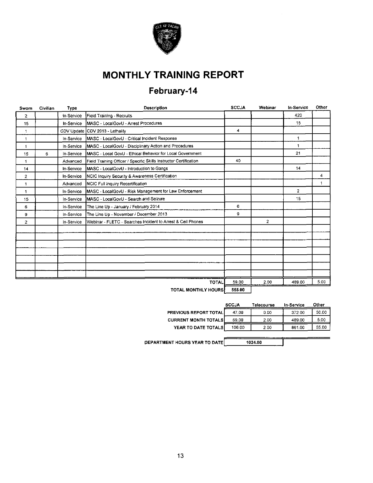

# **MONTHLY TRAINING REPORT**

# February-14

| Sworn          | Civilian | Type       | <b>Description</b>                                                | <b>SCCJA</b> | Webinar        | In-Service     | Other |
|----------------|----------|------------|-------------------------------------------------------------------|--------------|----------------|----------------|-------|
| $\mathbf{2}$   |          | In Service | Field Training - Recruits                                         |              |                | 420            |       |
| 15             |          | In-Service | MASC - LocalGovU - Arrest Procedures                              |              |                | 15             |       |
| 1              |          | CDV Update | CDV 2013 - Lethality                                              | 4            |                |                |       |
| $\mathbf{1}$   |          | In Service | MASC - LocalGovU - Critical Incident Response                     |              |                | 1              |       |
| $\mathbf{1}$   |          | In-Service | MASC - LocalGovU - Disciplinary Action and Procedures             |              |                | 1              |       |
| 15             | 6        | In-Service | IMASC - Local GovU - Ethical Behavior for Local Government        |              |                | 21             |       |
| 1              |          | Advanced   | Field Training Officer / Specific Skills Instructor Certification | 40           |                |                |       |
| 14             |          | In-Service | MASC - LocalGovU - Introduction to Gangs                          |              |                | 14             |       |
| $\overline{2}$ |          | In-Service | NCIC Inquiry Security & Awareness Certification                   |              |                |                | 4     |
| 1              |          | Advanced   | NCIC Full Inquiry Recertification                                 |              |                |                | 1     |
| 1              |          | In-Service | MASC - LocalGovU - Risk Management for Law Enforcement            |              |                | $\overline{2}$ |       |
| 15             |          | In-Service | MASC - LocalGovU - Search and Seizure                             |              |                | 15             |       |
| 6              |          | In-Service | The Line Up - January / February 2014                             | 6            |                |                |       |
| 9              |          | In-Service | The Line Up - November / December 2013                            | g            |                |                |       |
| $\overline{2}$ |          | In-Service | Webinar - FLETC - Searches Incident to Arrest & Cell Phones       |              | $\overline{2}$ |                |       |
|                |          |            |                                                                   |              |                |                |       |
|                |          |            |                                                                   |              |                |                |       |
|                |          |            |                                                                   |              |                |                |       |
|                |          |            |                                                                   |              |                |                |       |
|                |          |            |                                                                   |              |                |                |       |
|                |          |            |                                                                   |              |                |                |       |
|                |          |            |                                                                   |              |                |                |       |
|                |          |            | <b>TOTAL</b>                                                      | 59.00        | 2.00           | 489.00         | 5.00  |
|                |          |            |                                                                   | ----         |                |                |       |

TOTAL MONTHLY HOURS 555.00

|                              | <b>SCCJA</b> | Telecourse | In-Service | Other |
|------------------------------|--------------|------------|------------|-------|
| <b>PREVIOUS REPORT TOTAL</b> | 47.00        | 0.00       | 372.00     | 50.00 |
| <b>CURRENT MONTH TOTALS</b>  | 59.00        | 2.00       | 489.00     | 5.00  |
| YEAR TO DATE TOTALS          | 106.00       | 2.00       | 861.00     | 55.00 |
|                              |              |            |            |       |

1024.00

DEPARTMENT HOURS YEAR TO DATE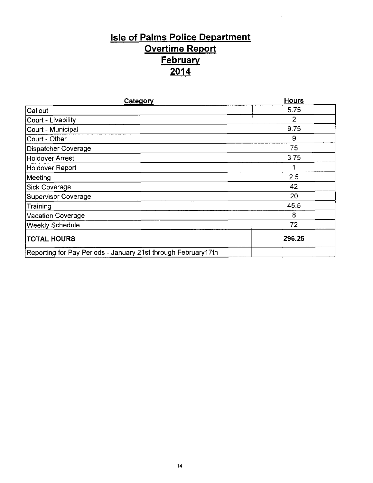# **Isle of Palms Police Department Overtime Report February**  $\frac{2014}{ }$

| Category                                                      | <b>Hours</b>   |
|---------------------------------------------------------------|----------------|
| Callout                                                       | 5.75           |
| Court - Livability                                            | $\overline{2}$ |
| Court - Municipal                                             | 9.75           |
| Court - Other                                                 | 9              |
| Dispatcher Coverage                                           | 75             |
| <b>Holdover Arrest</b>                                        | 3.75           |
| Holdover Report                                               |                |
| Meeting                                                       | 2.5            |
| Sick Coverage                                                 | 42             |
| <b>Supervisor Coverage</b>                                    | 20             |
| Training                                                      | 45.5           |
| <b>Vacation Coverage</b>                                      | 8              |
| Weekly Schedule                                               | 72             |
| <b>TOTAL HOURS</b>                                            | 296.25         |
| Reporting for Pay Periods - January 21st through February17th |                |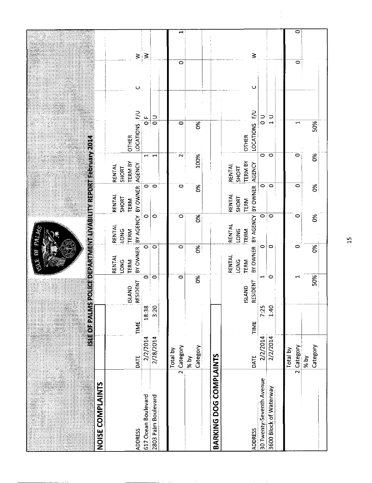|                                       |                          |           |                                  | ٦                              |                               | <u>SIE OFPALMSPOU GEDEPARTMENT UVABIU MEREZORII REDITORIZEN ZO P</u> |                                                    |                                |         |                          |
|---------------------------------------|--------------------------|-----------|----------------------------------|--------------------------------|-------------------------------|----------------------------------------------------------------------|----------------------------------------------------|--------------------------------|---------|--------------------------|
| NOISE COMPLAINTS                      |                          |           |                                  |                                |                               |                                                                      |                                                    |                                |         |                          |
|                                       |                          |           |                                  | RENTAL<br>LONG<br>TERM         | RENTAL<br>LONG<br>TERM        | <b>RENTAL</b><br>SHORT<br><b>TERM</b>                                | <b>TERM BY</b><br>RENTAL<br>SHORT                  | <b>OTHER</b>                   |         |                          |
| 617 Ocean Boulevard<br><b>ADDRESS</b> | TIME<br>2/2/2014<br>DATE | 18:38     | $\circ$<br>ISLAND<br>RESIDENT    | $\overline{\circ}$<br>BY OWNER | $\circ$                       | BY AGENCY BY OWNER<br>$\circ$                                        | AGENCY                                             | LOCATIONS F/U<br>$\frac{L}{Q}$ | $\cup$  | $\geq$<br>$\geq$         |
| 2803 Palm Boulevard                   | 2/28/2014                | 3:20      | $\circ$                          | $\circ$                        | $\circ$                       | $\circ$                                                              | $\blacksquare$<br>$\blacksquare$                   | $\frac{1}{\circ}$              |         |                          |
|                                       | 2 Category<br>Total by   |           | $\circ$                          | $\circ$                        | $\circ$                       | $\circ$                                                              | $\mathbf{\tilde{c}}$                               | $\circ$                        | $\circ$ | $\overline{\phantom{0}}$ |
|                                       | Category<br>$%$ by       |           | $\infty$                         | 0%                             | 86                            | 6%                                                                   | 100%                                               | ð%                             |         |                          |
| BARKING DOG COMPLAINTS                |                          |           |                                  |                                |                               |                                                                      |                                                    |                                |         |                          |
| <b>ADDRESS</b>                        | TIME<br>DATE             |           | <b>RESIDENT</b><br><b>ISLAND</b> | RENTAL<br><b>LONG</b><br>TERM  | RENTAL<br><b>LONG</b><br>TERM | BY OWNER BY AGENCY BY OWNER<br>RENTAL<br>SHORT<br>TERM               | <b>TERM BY</b><br>AGENCY<br><b>RENTAL</b><br>SHORT | LOCATIONS F/U<br><b>OTHER</b>  | $\cup$  | ₹                        |
| 30 Twenty-Seventh Avenue              | 2/2/2014                 | 7:25      | $\mathord{\text{--}}$            | 0                              | $\circ$                       | $\circ$                                                              | $\circ$                                            | $\frac{1}{\alpha}$             |         |                          |
| 3600 Block of Waterway                | 2/2/2014                 | ì<br>1:40 | $\circ$                          | 0                              | $\circ$                       | $\circ$                                                              | $\circ$                                            | $\frac{1}{1}$                  |         |                          |
|                                       | 2 Category<br>Total by   |           |                                  | ۰                              | $\circ$                       | 0                                                                    | $\circ$                                            | ᆏ                              | $\circ$ | $\overline{\circ}$       |
|                                       | Category<br>$ %$ by      |           | 50%                              | 8%                             | δš                            | ర్మ                                                                  | ð.                                                 | 50%                            |         |                          |

 $\frac{15}{15}$